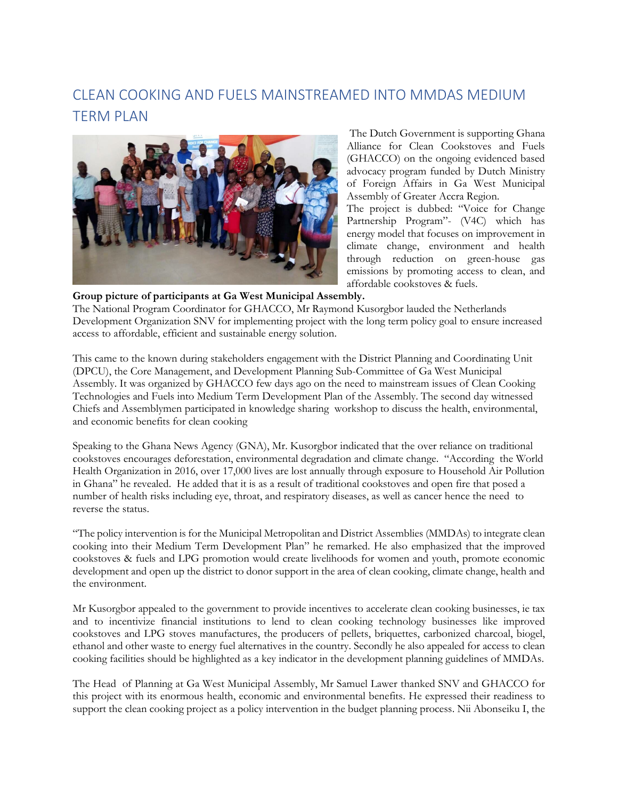## CLEAN COOKING AND FUELS MAINSTREAMED INTO MMDAS MEDIUM TERM PLAN



The Dutch Government is supporting Ghana Alliance for Clean Cookstoves and Fuels (GHACCO) on the ongoing evidenced based advocacy program funded by Dutch Ministry of Foreign Affairs in Ga West Municipal Assembly of Greater Accra Region.

The project is dubbed: "Voice for Change Partnership Program"- (V4C) which has energy model that focuses on improvement in climate change, environment and health through reduction on green-house gas emissions by promoting access to clean, and affordable cookstoves & fuels.

## **Group picture of participants at Ga West Municipal Assembly.**

The National Program Coordinator for GHACCO, Mr Raymond Kusorgbor lauded the Netherlands Development Organization SNV for implementing project with the long term policy goal to ensure increased access to affordable, efficient and sustainable energy solution.

This came to the known during stakeholders engagement with the District Planning and Coordinating Unit (DPCU), the Core Management, and Development Planning Sub-Committee of Ga West Municipal Assembly. It was organized by GHACCO few days ago on the need to mainstream issues of Clean Cooking Technologies and Fuels into Medium Term Development Plan of the Assembly. The second day witnessed Chiefs and Assemblymen participated in knowledge sharing workshop to discuss the health, environmental, and economic benefits for clean cooking

Speaking to the Ghana News Agency (GNA), Mr. Kusorgbor indicated that the over reliance on traditional cookstoves encourages deforestation, environmental degradation and climate change. "According the World Health Organization in 2016, over 17,000 lives are lost annually through exposure to Household Air Pollution in Ghana" he revealed. He added that it is as a result of traditional cookstoves and open fire that posed a number of health risks including eye, throat, and respiratory diseases, as well as cancer hence the need to reverse the status.

"The policy intervention is for the Municipal Metropolitan and District Assemblies (MMDAs) to integrate clean cooking into their Medium Term Development Plan" he remarked. He also emphasized that the improved cookstoves & fuels and LPG promotion would create livelihoods for women and youth, promote economic development and open up the district to donor support in the area of clean cooking, climate change, health and the environment.

Mr Kusorgbor appealed to the government to provide incentives to accelerate clean cooking businesses, ie tax and to incentivize financial institutions to lend to clean cooking technology businesses like improved cookstoves and LPG stoves manufactures, the producers of pellets, briquettes, carbonized charcoal, biogel, ethanol and other waste to energy fuel alternatives in the country. Secondly he also appealed for access to clean cooking facilities should be highlighted as a key indicator in the development planning guidelines of MMDAs.

The Head of Planning at Ga West Municipal Assembly, Mr Samuel Lawer thanked SNV and GHACCO for this project with its enormous health, economic and environmental benefits. He expressed their readiness to support the clean cooking project as a policy intervention in the budget planning process. Nii Abonseiku I, the